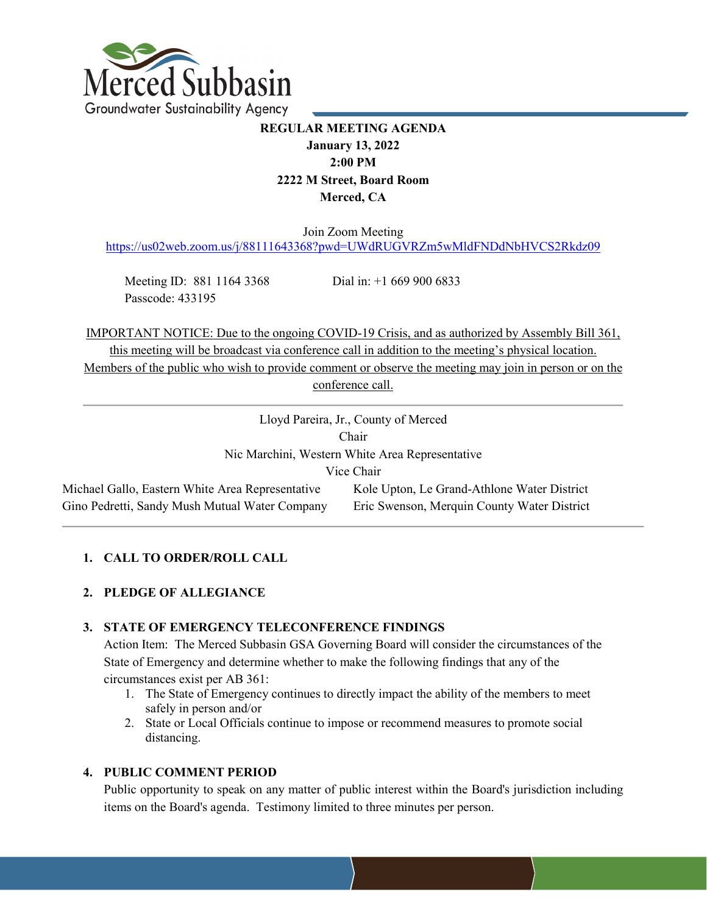

# **REGULAR MEETING AGENDA January 13, 2022 2:00 PM 2222 M Street, Board Room Merced, CA**

Join Zoom Meeting

<https://us02web.zoom.us/j/88111643368?pwd=UWdRUGVRZm5wMldFNDdNbHVCS2Rkdz09>

Meeting ID: 881 1164 3368 Dial in: +1 669 900 6833 Passcode: 433195

IMPORTANT NOTICE: Due to the ongoing COVID-19 Crisis, and as authorized by Assembly Bill 361, this meeting will be broadcast via conference call in addition to the meeting's physical location. Members of the public who wish to provide comment or observe the meeting may join in person or on the conference call.

# **1. CALL TO ORDER/ROLL CALL**

# **2. PLEDGE OF ALLEGIANCE**

# **3. STATE OF EMERGENCY TELECONFERENCE FINDINGS**

Action Item: The Merced Subbasin GSA Governing Board will consider the circumstances of the State of Emergency and determine whether to make the following findings that any of the circumstances exist per AB 361:

- 1. The State of Emergency continues to directly impact the ability of the members to meet safely in person and/or
- 2. State or Local Officials continue to impose or recommend measures to promote social distancing.

# **4. PUBLIC COMMENT PERIOD**

Public opportunity to speak on any matter of public interest within the Board's jurisdiction including items on the Board's agenda. Testimony limited to three minutes per person.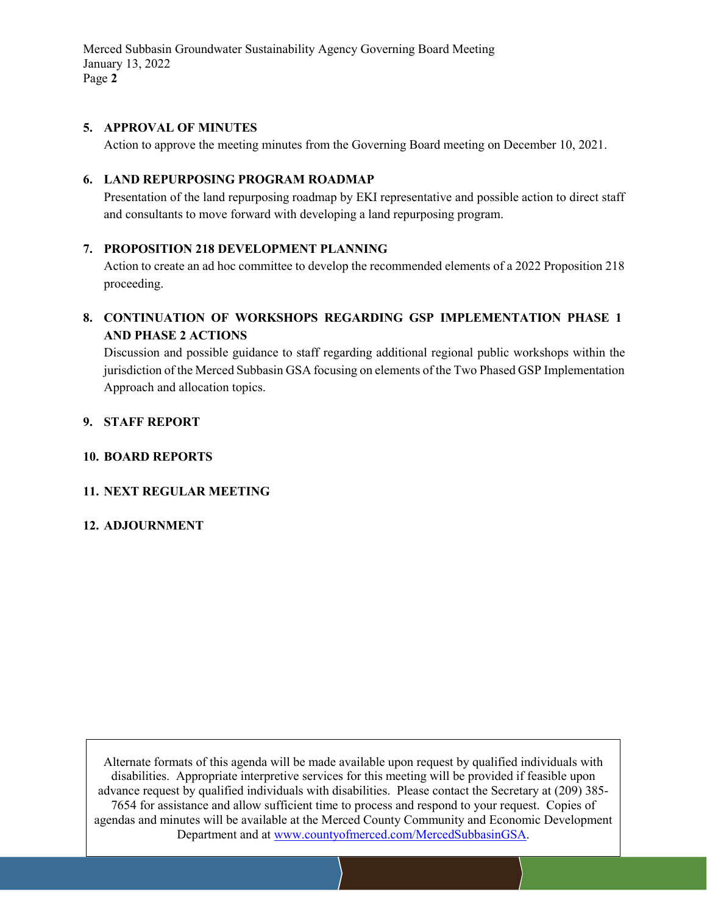Merced Subbasin Groundwater Sustainability Agency Governing Board Meeting January 13, 2022 Page **2**

#### **5. APPROVAL OF MINUTES**

Action to approve the meeting minutes from the Governing Board meeting on December 10, 2021.

# **6. LAND REPURPOSING PROGRAM ROADMAP**

Presentation of the land repurposing roadmap by EKI representative and possible action to direct staff and consultants to move forward with developing a land repurposing program.

# **7. PROPOSITION 218 DEVELOPMENT PLANNING**

Action to create an ad hoc committee to develop the recommended elements of a 2022 Proposition 218 proceeding.

# **8. CONTINUATION OF WORKSHOPS REGARDING GSP IMPLEMENTATION PHASE 1 AND PHASE 2 ACTIONS**

Discussion and possible guidance to staff regarding additional regional public workshops within the jurisdiction of the Merced Subbasin GSA focusing on elements of the Two Phased GSP Implementation Approach and allocation topics.

#### **9. STAFF REPORT**

#### **10. BOARD REPORTS**

# **11. NEXT REGULAR MEETING**

#### **12. ADJOURNMENT**

Alternate formats of this agenda will be made available upon request by qualified individuals with disabilities. Appropriate interpretive services for this meeting will be provided if feasible upon advance request by qualified individuals with disabilities. Please contact the Secretary at (209) 385- 7654 for assistance and allow sufficient time to process and respond to your request. Copies of agendas and minutes will be available at the Merced County Community and Economic Development Department and at www.countyofmerced.com/MercedSubbasinGSA.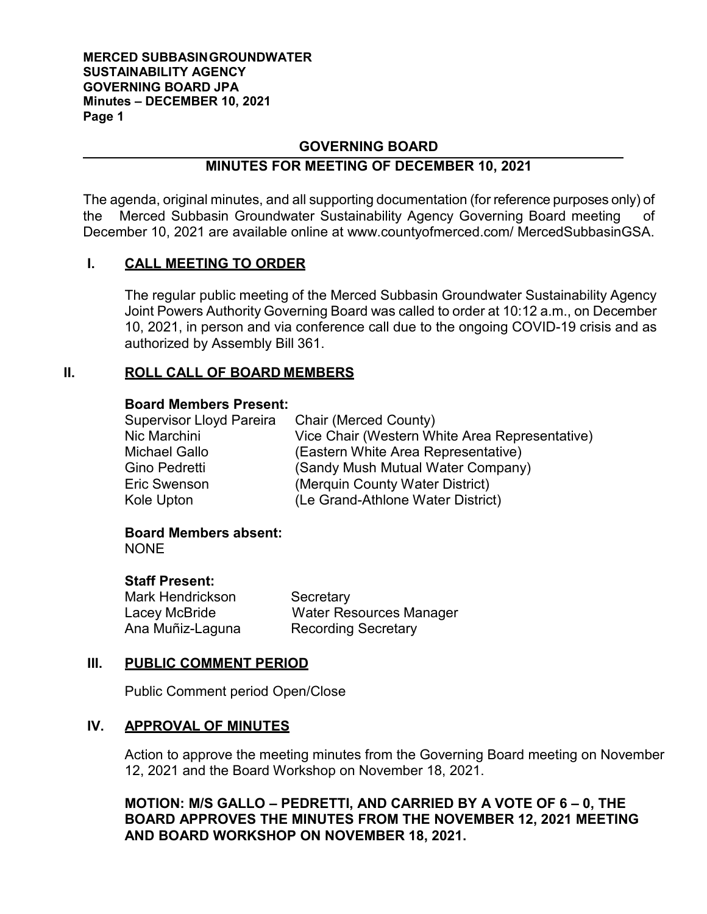#### **MERCED SUBBASINGROUNDWATER SUSTAINABILITY AGENCY GOVERNING BOARD JPA Minutes – DECEMBER 10, 2021 Page 1**

# **GOVERNING BOARD**

# **MINUTES FOR MEETING OF DECEMBER 10, 2021**

The agenda, original minutes, and all supporting documentation (for reference purposes only) of the Merced Subbasin Groundwater Sustainability Agency Governing Board meeting of December 10, 2021 are available online at [www.countyofmerced.com/](http://www.countyofmerced.com/) MercedSubbasinGSA.

# **I. CALL MEETING TO ORDER**

The regular public meeting of the Merced Subbasin Groundwater Sustainability Agency Joint Powers Authority Governing Board was called to order at 10:12 a.m., on December 10, 2021, in person and via conference call due to the ongoing COVID-19 crisis and as authorized by Assembly Bill 361.

# **II. ROLL CALL OF BOARD MEMBERS**

# **Board Members Present:**

| Supervisor Lloyd Pareira | Chair (Merced County)                          |
|--------------------------|------------------------------------------------|
| Nic Marchini             | Vice Chair (Western White Area Representative) |
| Michael Gallo            | (Eastern White Area Representative)            |
| Gino Pedretti            | (Sandy Mush Mutual Water Company)              |
| Eric Swenson             | (Merquin County Water District)                |
| Kole Upton               | (Le Grand-Athlone Water District)              |

# **Board Members absent:**

**NONE** 

# **Staff Present:**

Mark Hendrickson Secretary

Lacey McBride Water Resources Manager Ana Muñiz-Laguna Recording Secretary

# **III. PUBLIC COMMENT PERIOD**

Public Comment period Open/Close

# **IV. APPROVAL OF MINUTES**

Action to approve the meeting minutes from the Governing Board meeting on November 12, 2021 and the Board Workshop on November 18, 2021.

**MOTION: M/S GALLO – PEDRETTI, AND CARRIED BY A VOTE OF 6 – 0, THE BOARD APPROVES THE MINUTES FROM THE NOVEMBER 12, 2021 MEETING AND BOARD WORKSHOP ON NOVEMBER 18, 2021.**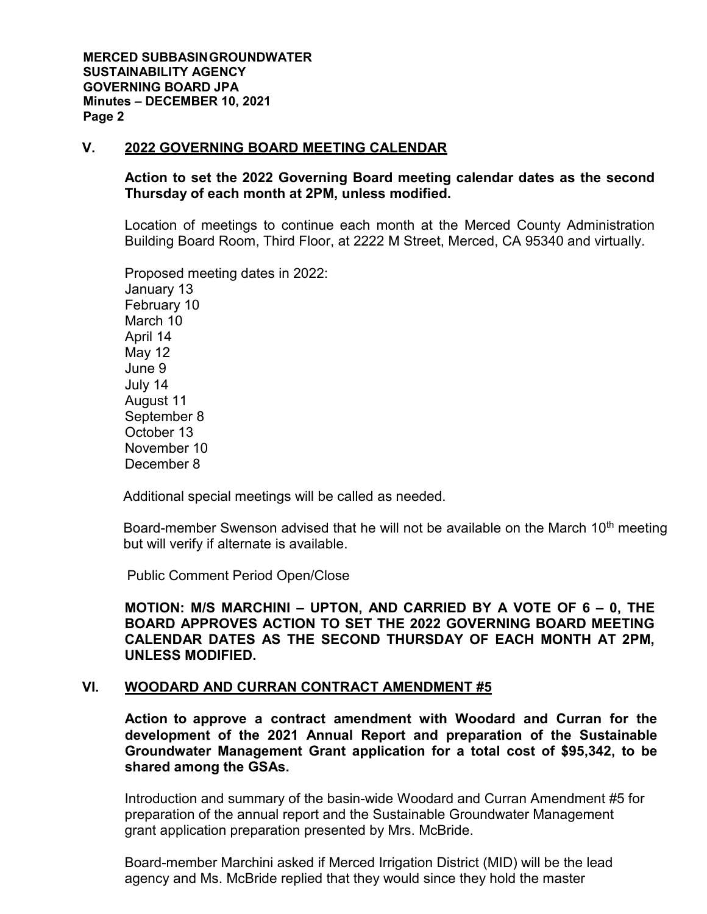# **V. 2022 GOVERNING BOARD MEETING CALENDAR**

# **Action to set the 2022 Governing Board meeting calendar dates as the second Thursday of each month at 2PM, unless modified.**

Location of meetings to continue each month at the Merced County Administration Building Board Room, Third Floor, at 2222 M Street, Merced, CA 95340 and virtually.

Proposed meeting dates in 2022: January 13 February 10 March 10 April 14 May 12 June 9 July 14 August 11 September 8 October 13 November 10 December 8

Additional special meetings will be called as needed.

Board-member Swenson advised that he will not be available on the March 10<sup>th</sup> meeting but will verify if alternate is available.

Public Comment Period Open/Close

**MOTION: M/S MARCHINI – UPTON, AND CARRIED BY A VOTE OF 6 – 0, THE BOARD APPROVES ACTION TO SET THE 2022 GOVERNING BOARD MEETING CALENDAR DATES AS THE SECOND THURSDAY OF EACH MONTH AT 2PM, UNLESS MODIFIED.**

# **VI. WOODARD AND CURRAN CONTRACT AMENDMENT #5**

**Action to approve a contract amendment with Woodard and Curran for the development of the 2021 Annual Report and preparation of the Sustainable Groundwater Management Grant application for a total cost of \$95,342, to be shared among the GSAs.** 

Introduction and summary of the basin-wide Woodard and Curran Amendment #5 for preparation of the annual report and the Sustainable Groundwater Management grant application preparation presented by Mrs. McBride.

Board-member Marchini asked if Merced Irrigation District (MID) will be the lead agency and Ms. McBride replied that they would since they hold the master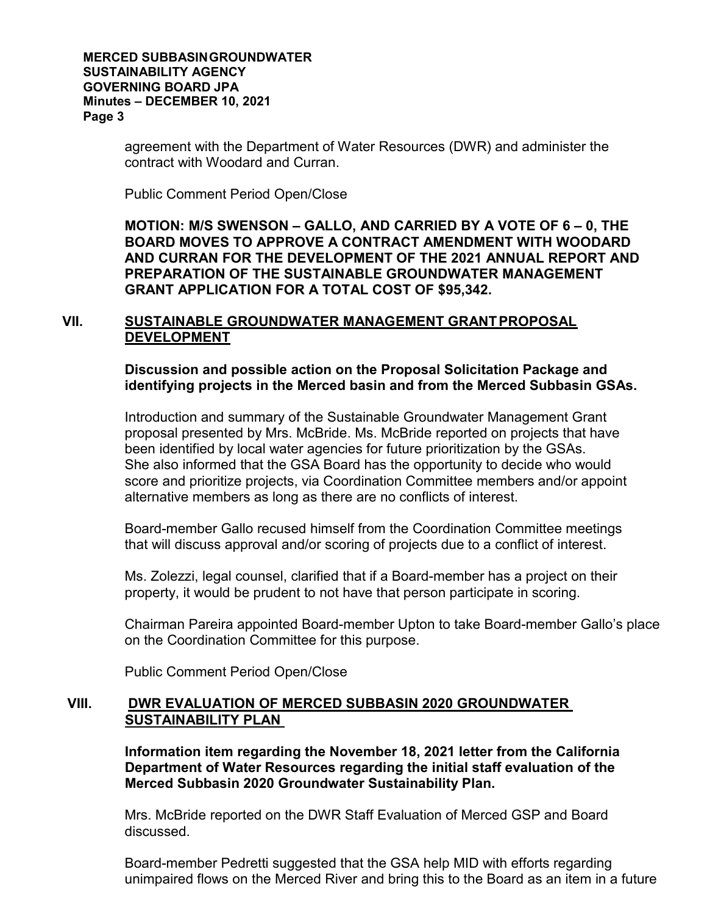#### **MERCED SUBBASINGROUNDWATER SUSTAINABILITY AGENCY GOVERNING BOARD JPA Minutes – DECEMBER 10, 2021 Page 3**

agreement with the Department of Water Resources (DWR) and administer the contract with Woodard and Curran.

Public Comment Period Open/Close

**MOTION: M/S SWENSON – GALLO, AND CARRIED BY A VOTE OF 6 – 0, THE BOARD MOVES TO APPROVE A CONTRACT AMENDMENT WITH WOODARD AND CURRAN FOR THE DEVELOPMENT OF THE 2021 ANNUAL REPORT AND PREPARATION OF THE SUSTAINABLE GROUNDWATER MANAGEMENT GRANT APPLICATION FOR A TOTAL COST OF \$95,342.**

# **VII. SUSTAINABLE GROUNDWATER MANAGEMENT GRANTPROPOSAL DEVELOPMENT**

**Discussion and possible action on the Proposal Solicitation Package and identifying projects in the Merced basin and from the Merced Subbasin GSAs.**

Introduction and summary of the Sustainable Groundwater Management Grant proposal presented by Mrs. McBride. Ms. McBride reported on projects that have been identified by local water agencies for future prioritization by the GSAs. She also informed that the GSA Board has the opportunity to decide who would score and prioritize projects, via Coordination Committee members and/or appoint alternative members as long as there are no conflicts of interest.

Board-member Gallo recused himself from the Coordination Committee meetings that will discuss approval and/or scoring of projects due to a conflict of interest.

Ms. Zolezzi, legal counsel, clarified that if a Board-member has a project on their property, it would be prudent to not have that person participate in scoring.

Chairman Pareira appointed Board-member Upton to take Board-member Gallo's place on the Coordination Committee for this purpose.

Public Comment Period Open/Close

# **VIII. DWR EVALUATION OF MERCED SUBBASIN 2020 GROUNDWATER SUSTAINABILITY PLAN**

**Information item regarding the November 18, 2021 letter from the California Department of Water Resources regarding the initial staff evaluation of the Merced Subbasin 2020 Groundwater Sustainability Plan.** 

Mrs. McBride reported on the DWR Staff Evaluation of Merced GSP and Board discussed.

Board-member Pedretti suggested that the GSA help MID with efforts regarding unimpaired flows on the Merced River and bring this to the Board as an item in a future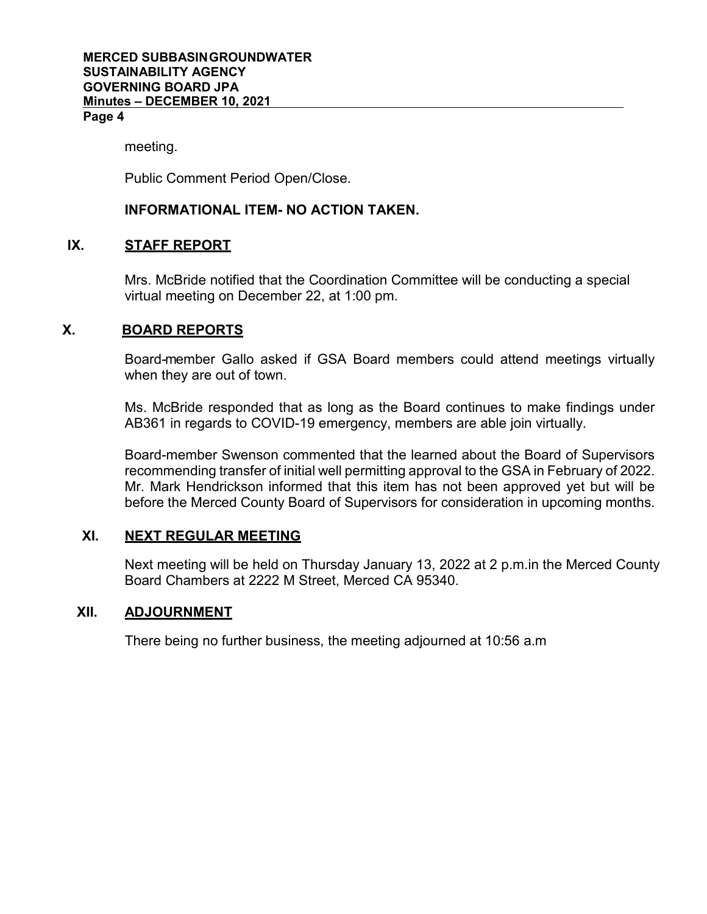#### meeting.

Public Comment Period Open/Close.

# **INFORMATIONAL ITEM- NO ACTION TAKEN.**

# **IX. STAFF REPORT**

Mrs. McBride notified that the Coordination Committee will be conducting a special virtual meeting on December 22, at 1:00 pm.

# **X. BOARD REPORTS**

Board-member Gallo asked if GSA Board members could attend meetings virtually when they are out of town.

Ms. McBride responded that as long as the Board continues to make findings under AB361 in regards to COVID-19 emergency, members are able join virtually.

Board-member Swenson commented that the learned about the Board of Supervisors recommending transfer of initial well permitting approval to the GSA in February of 2022. Mr. Mark Hendrickson informed that this item has not been approved yet but will be before the Merced County Board of Supervisors for consideration in upcoming months.

# **XI. NEXT REGULAR MEETING**

Next meeting will be held on Thursday January 13, 2022 at 2 p.m.in the Merced County Board Chambers at 2222 M Street, Merced CA 95340.

# **XII. ADJOURNMENT**

There being no further business, the meeting adjourned at 10:56 a.m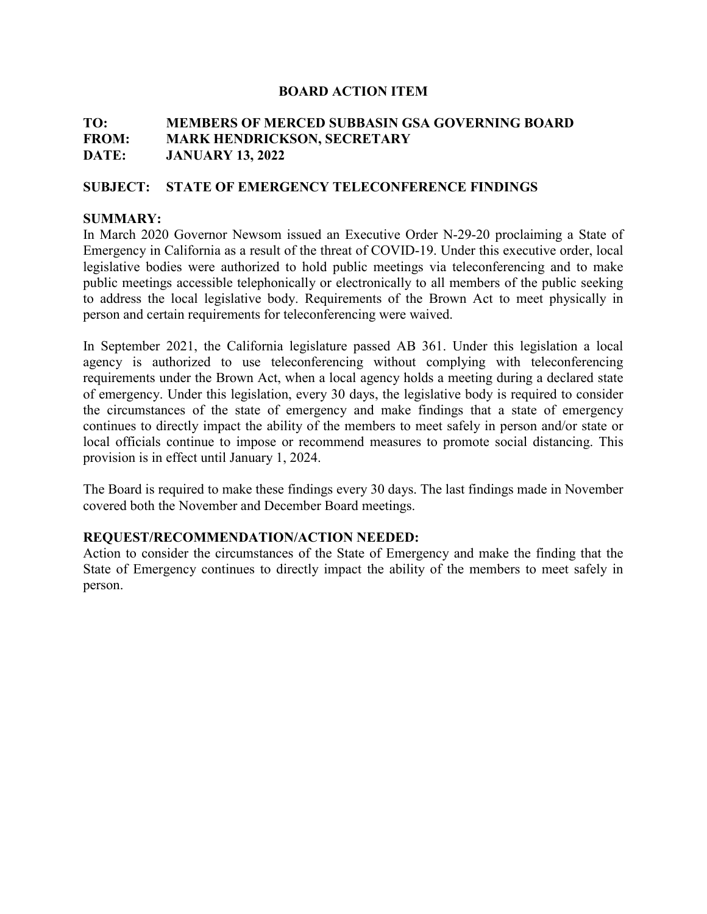# **TO: MEMBERS OF MERCED SUBBASIN GSA GOVERNING BOARD FROM: MARK HENDRICKSON, SECRETARY DATE: JANUARY 13, 2022**

# **SUBJECT: STATE OF EMERGENCY TELECONFERENCE FINDINGS**

# **SUMMARY:**

In March 2020 Governor Newsom issued an Executive Order N-29-20 proclaiming a State of Emergency in California as a result of the threat of COVID-19. Under this executive order, local legislative bodies were authorized to hold public meetings via teleconferencing and to make public meetings accessible telephonically or electronically to all members of the public seeking to address the local legislative body. Requirements of the Brown Act to meet physically in person and certain requirements for teleconferencing were waived.

In September 2021, the California legislature passed AB 361. Under this legislation a local agency is authorized to use teleconferencing without complying with teleconferencing requirements under the Brown Act, when a local agency holds a meeting during a declared state of emergency. Under this legislation, every 30 days, the legislative body is required to consider the circumstances of the state of emergency and make findings that a state of emergency continues to directly impact the ability of the members to meet safely in person and/or state or local officials continue to impose or recommend measures to promote social distancing. This provision is in effect until January 1, 2024.

The Board is required to make these findings every 30 days. The last findings made in November covered both the November and December Board meetings.

# **REQUEST/RECOMMENDATION/ACTION NEEDED:**

Action to consider the circumstances of the State of Emergency and make the finding that the State of Emergency continues to directly impact the ability of the members to meet safely in person.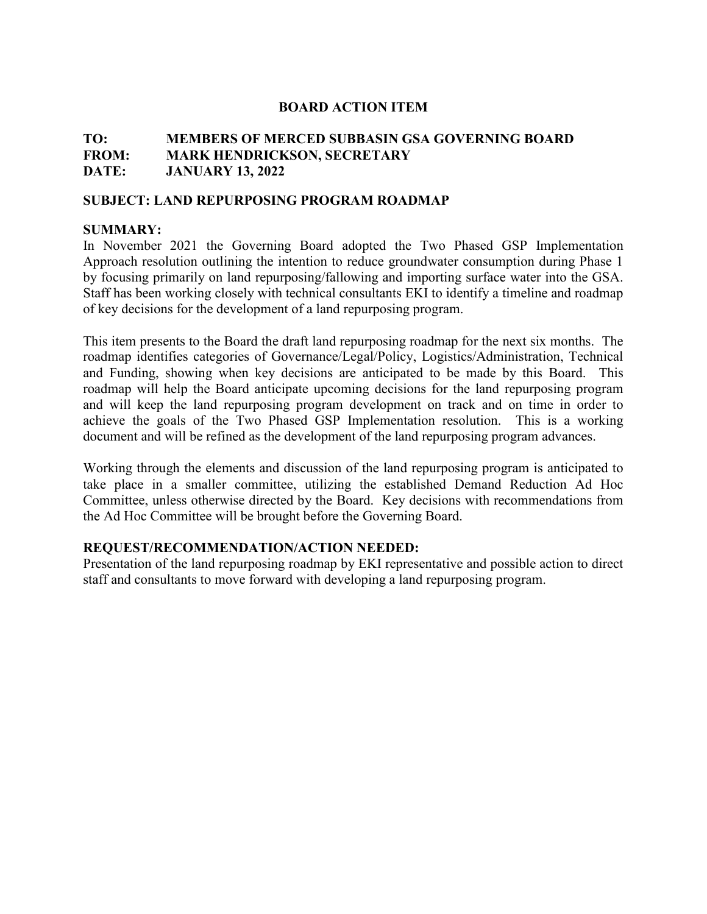# **TO: MEMBERS OF MERCED SUBBASIN GSA GOVERNING BOARD FROM: MARK HENDRICKSON, SECRETARY DATE: JANUARY 13, 2022**

#### **SUBJECT: LAND REPURPOSING PROGRAM ROADMAP**

#### **SUMMARY:**

In November 2021 the Governing Board adopted the Two Phased GSP Implementation Approach resolution outlining the intention to reduce groundwater consumption during Phase 1 by focusing primarily on land repurposing/fallowing and importing surface water into the GSA. Staff has been working closely with technical consultants EKI to identify a timeline and roadmap of key decisions for the development of a land repurposing program.

This item presents to the Board the draft land repurposing roadmap for the next six months. The roadmap identifies categories of Governance/Legal/Policy, Logistics/Administration, Technical and Funding, showing when key decisions are anticipated to be made by this Board. This roadmap will help the Board anticipate upcoming decisions for the land repurposing program and will keep the land repurposing program development on track and on time in order to achieve the goals of the Two Phased GSP Implementation resolution. This is a working document and will be refined as the development of the land repurposing program advances.

Working through the elements and discussion of the land repurposing program is anticipated to take place in a smaller committee, utilizing the established Demand Reduction Ad Hoc Committee, unless otherwise directed by the Board. Key decisions with recommendations from the Ad Hoc Committee will be brought before the Governing Board.

# **REQUEST/RECOMMENDATION/ACTION NEEDED:**

Presentation of the land repurposing roadmap by EKI representative and possible action to direct staff and consultants to move forward with developing a land repurposing program.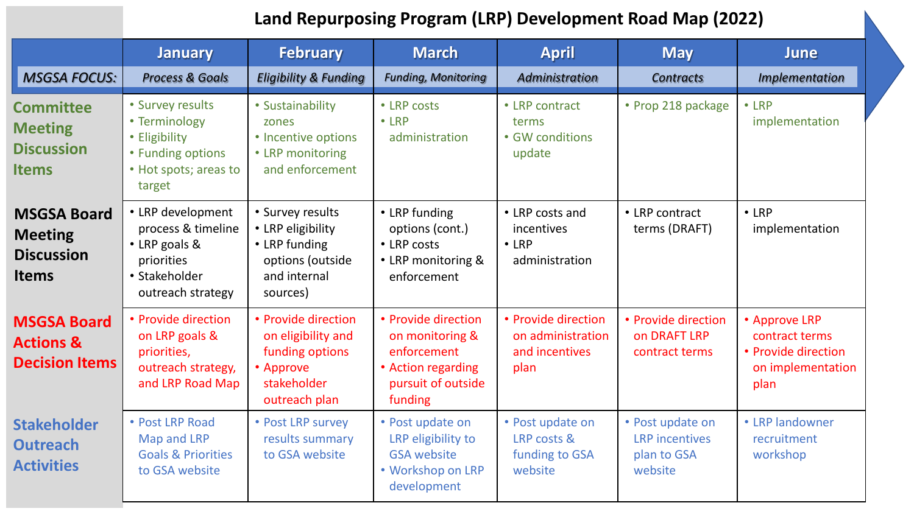# **Land Repurposing Program (LRP) Development Road Map (2022)**

|                                                                           | <b>January</b>                                                                                               | <b>February</b>                                                                                           | <b>March</b>                                                                                                 | <b>April</b>                                                       | <b>May</b>                                                          | <b>June</b>                                                                         |
|---------------------------------------------------------------------------|--------------------------------------------------------------------------------------------------------------|-----------------------------------------------------------------------------------------------------------|--------------------------------------------------------------------------------------------------------------|--------------------------------------------------------------------|---------------------------------------------------------------------|-------------------------------------------------------------------------------------|
| <b>MSGSA FOCUS:</b>                                                       | <b>Process &amp; Goals</b>                                                                                   | <b>Eligibility &amp; Funding</b>                                                                          | <b>Funding, Monitoring</b>                                                                                   | Administration                                                     | <b>Contracts</b>                                                    | <b>Implementation</b>                                                               |
| <b>Committee</b><br><b>Meeting</b><br><b>Discussion</b><br><b>Items</b>   | • Survey results<br>• Terminology<br>• Eligibility<br>• Funding options<br>• Hot spots; areas to<br>target   | • Sustainability<br>zones<br>• Incentive options<br>• LRP monitoring<br>and enforcement                   | • LRP costs<br>$\cdot$ LRP<br>administration                                                                 | • LRP contract<br>terms<br>• GW conditions<br>update               | • Prop 218 package                                                  | $\cdot$ LRP<br>implementation                                                       |
| <b>MSGSA Board</b><br><b>Meeting</b><br><b>Discussion</b><br><b>Items</b> | • LRP development<br>process & timeline<br>• LRP goals &<br>priorities<br>• Stakeholder<br>outreach strategy | • Survey results<br>• LRP eligibility<br>• LRP funding<br>options (outside<br>and internal<br>sources)    | • LRP funding<br>options (cont.)<br>• LRP costs<br>• LRP monitoring &<br>enforcement                         | • LRP costs and<br>incentives<br>$\cdot$ LRP<br>administration     | • LRP contract<br>terms (DRAFT)                                     | $\cdot$ LRP<br>implementation                                                       |
| <b>MSGSA Board</b><br><b>Actions &amp;</b><br><b>Decision Items</b>       | • Provide direction<br>on LRP goals &<br>priorities,<br>outreach strategy,<br>and LRP Road Map               | • Provide direction<br>on eligibility and<br>funding options<br>• Approve<br>stakeholder<br>outreach plan | • Provide direction<br>on monitoring &<br>enforcement<br>• Action regarding<br>pursuit of outside<br>funding | • Provide direction<br>on administration<br>and incentives<br>plan | • Provide direction<br><b>on DRAFT LRP</b><br>contract terms        | • Approve LRP<br>contract terms<br>• Provide direction<br>on implementation<br>plan |
| <b>Stakeholder</b><br><b>Outreach</b><br><b>Activities</b>                | • Post LRP Road<br>Map and LRP<br><b>Goals &amp; Priorities</b><br>to GSA website                            | • Post LRP survey<br>results summary<br>to GSA website                                                    | • Post update on<br>LRP eligibility to<br><b>GSA website</b><br>• Workshop on LRP<br>development             | • Post update on<br>LRP costs &<br>funding to GSA<br>website       | • Post update on<br><b>LRP</b> incentives<br>plan to GSA<br>website | • LRP landowner<br>recruitment<br>workshop                                          |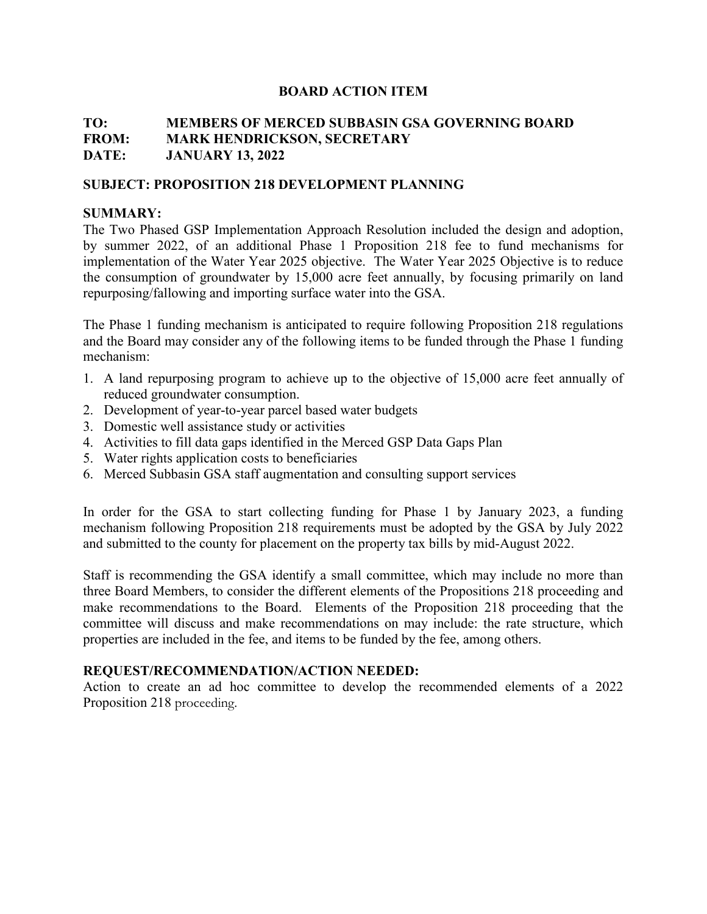# **TO: MEMBERS OF MERCED SUBBASIN GSA GOVERNING BOARD FROM: MARK HENDRICKSON, SECRETARY DATE: JANUARY 13, 2022**

# **SUBJECT: PROPOSITION 218 DEVELOPMENT PLANNING**

# **SUMMARY:**

The Two Phased GSP Implementation Approach Resolution included the design and adoption, by summer 2022, of an additional Phase 1 Proposition 218 fee to fund mechanisms for implementation of the Water Year 2025 objective. The Water Year 2025 Objective is to reduce the consumption of groundwater by 15,000 acre feet annually, by focusing primarily on land repurposing/fallowing and importing surface water into the GSA.

The Phase 1 funding mechanism is anticipated to require following Proposition 218 regulations and the Board may consider any of the following items to be funded through the Phase 1 funding mechanism:

- 1. A land repurposing program to achieve up to the objective of 15,000 acre feet annually of reduced groundwater consumption.
- 2. Development of year-to-year parcel based water budgets
- 3. Domestic well assistance study or activities
- 4. Activities to fill data gaps identified in the Merced GSP Data Gaps Plan
- 5. Water rights application costs to beneficiaries
- 6. Merced Subbasin GSA staff augmentation and consulting support services

In order for the GSA to start collecting funding for Phase 1 by January 2023, a funding mechanism following Proposition 218 requirements must be adopted by the GSA by July 2022 and submitted to the county for placement on the property tax bills by mid-August 2022.

Staff is recommending the GSA identify a small committee, which may include no more than three Board Members, to consider the different elements of the Propositions 218 proceeding and make recommendations to the Board. Elements of the Proposition 218 proceeding that the committee will discuss and make recommendations on may include: the rate structure, which properties are included in the fee, and items to be funded by the fee, among others.

# **REQUEST/RECOMMENDATION/ACTION NEEDED:**

Action to create an ad hoc committee to develop the recommended elements of a 2022 Proposition 218 proceeding.